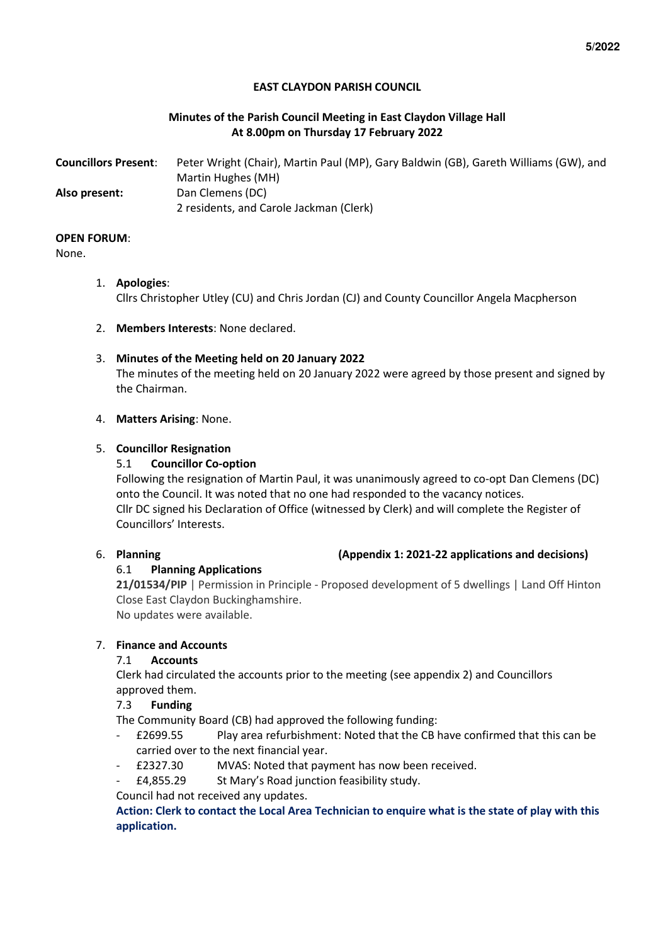## **EAST CLAYDON PARISH COUNCIL**

## **Minutes of the Parish Council Meeting in East Claydon Village Hall At 8.00pm on Thursday 17 February 2022**

| <b>Councillors Present:</b> | Peter Wright (Chair), Martin Paul (MP), Gary Baldwin (GB), Gareth Williams (GW), and |
|-----------------------------|--------------------------------------------------------------------------------------|
|                             | Martin Hughes (MH)                                                                   |
| Also present:               | Dan Clemens (DC)                                                                     |
|                             | 2 residents, and Carole Jackman (Clerk)                                              |

#### **OPEN FORUM**:

None.

- 1. **Apologies**: Cllrs Christopher Utley (CU) and Chris Jordan (CJ) and County Councillor Angela Macpherson
- 2. **Members Interests**: None declared.

## 3. **Minutes of the Meeting held on 20 January 2022**

The minutes of the meeting held on 20 January 2022 were agreed by those present and signed by the Chairman.

#### 4. **Matters Arising**: None.

## 5. **Councillor Resignation**

## 5.1 **Councillor Co-option**

Following the resignation of Martin Paul, it was unanimously agreed to co-opt Dan Clemens (DC) onto the Council. It was noted that no one had responded to the vacancy notices. Cllr DC signed his Declaration of Office (witnessed by Clerk) and will complete the Register of Councillors' Interests.

## 6.1 **Planning Applications**

**21/01534/PIP** | Permission in Principle - Proposed development of 5 dwellings | Land Off Hinton Close East Claydon Buckinghamshire.

No updates were available.

## 7. **Finance and Accounts**

## 7.1 **Accounts**

Clerk had circulated the accounts prior to the meeting (see appendix 2) and Councillors approved them.

## 7.3 **Funding**

The Community Board (CB) had approved the following funding:

- £2699.55 Play area refurbishment: Noted that the CB have confirmed that this can be carried over to the next financial year.
- £2327.30 MVAS: Noted that payment has now been received.
- £4,855.29 St Mary's Road junction feasibility study.

Council had not received any updates.

**Action: Clerk to contact the Local Area Technician to enquire what is the state of play with this application.** 

#### 6. **Planning (Appendix 1: 2021-22 applications and decisions)**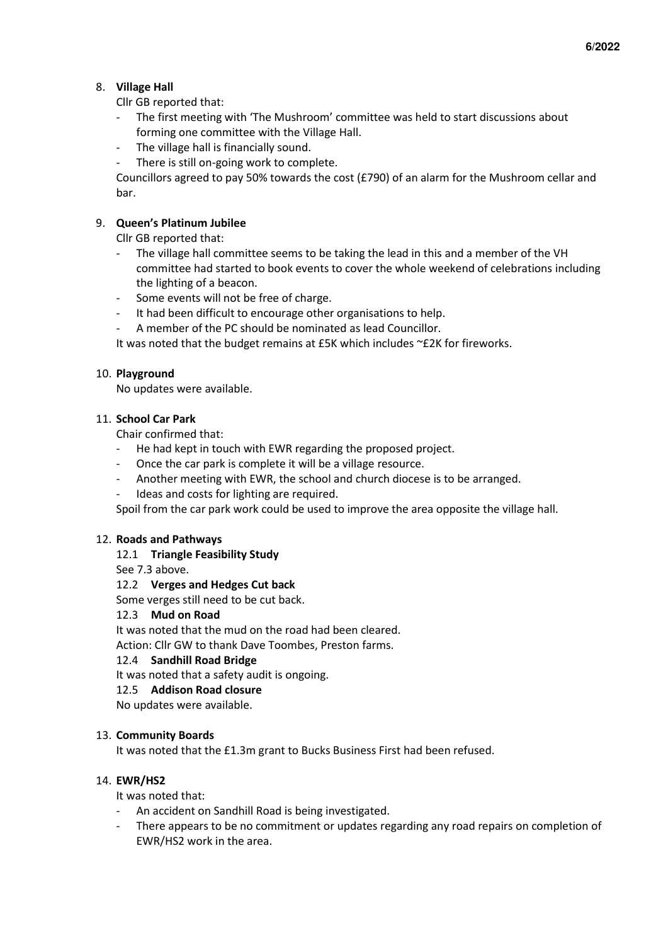## 8. **Village Hall**

Cllr GB reported that:

- The first meeting with 'The Mushroom' committee was held to start discussions about forming one committee with the Village Hall.
- The village hall is financially sound.
- There is still on-going work to complete.

Councillors agreed to pay 50% towards the cost (£790) of an alarm for the Mushroom cellar and bar.

## 9. **Queen's Platinum Jubilee**

Cllr GB reported that:

- The village hall committee seems to be taking the lead in this and a member of the VH committee had started to book events to cover the whole weekend of celebrations including the lighting of a beacon.
- Some events will not be free of charge.
- It had been difficult to encourage other organisations to help.
- A member of the PC should be nominated as lead Councillor.

It was noted that the budget remains at £5K which includes ~£2K for fireworks.

## 10. **Playground**

No updates were available.

#### 11. **School Car Park**

Chair confirmed that:

- He had kept in touch with EWR regarding the proposed project.
- Once the car park is complete it will be a village resource.
- Another meeting with EWR, the school and church diocese is to be arranged.
- Ideas and costs for lighting are required.

Spoil from the car park work could be used to improve the area opposite the village hall.

#### 12. **Roads and Pathways**

#### 12.1 **Triangle Feasibility Study**

See 7.3 above.

#### 12.2 **Verges and Hedges Cut back**

Some verges still need to be cut back.

#### 12.3 **Mud on Road**

It was noted that the mud on the road had been cleared.

Action: Cllr GW to thank Dave Toombes, Preston farms.

#### 12.4 **Sandhill Road Bridge**

It was noted that a safety audit is ongoing.

#### 12.5 **Addison Road closure**

No updates were available.

#### 13. **Community Boards**

It was noted that the £1.3m grant to Bucks Business First had been refused.

#### 14. **EWR/HS2**

It was noted that:

- An accident on Sandhill Road is being investigated.
- There appears to be no commitment or updates regarding any road repairs on completion of EWR/HS2 work in the area.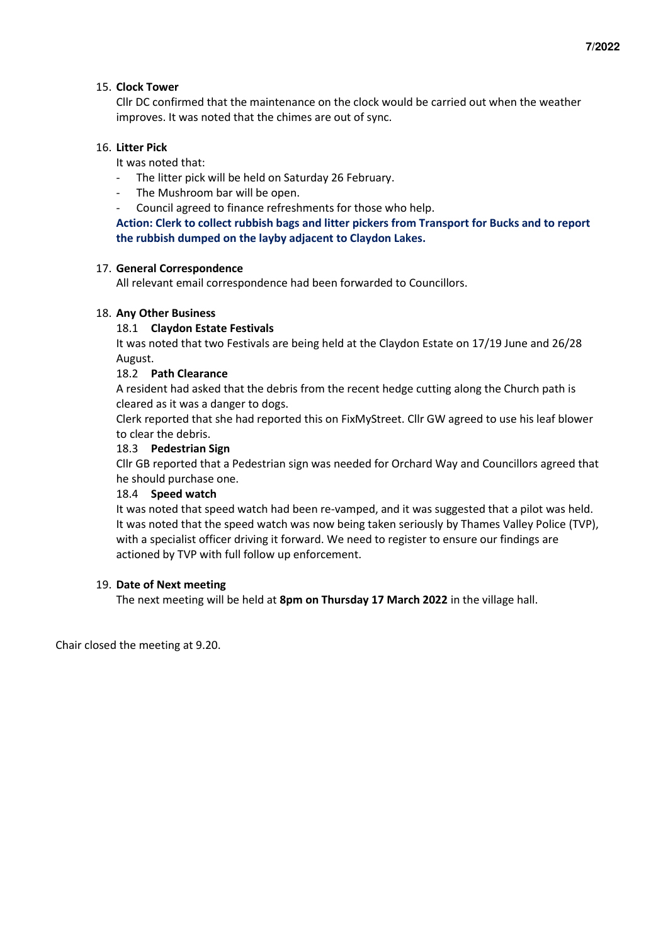## 15. **Clock Tower**

Cllr DC confirmed that the maintenance on the clock would be carried out when the weather improves. It was noted that the chimes are out of sync.

## 16. **Litter Pick**

It was noted that:

- The litter pick will be held on Saturday 26 February.
- The Mushroom bar will be open.
- Council agreed to finance refreshments for those who help.

**Action: Clerk to collect rubbish bags and litter pickers from Transport for Bucks and to report the rubbish dumped on the layby adjacent to Claydon Lakes.** 

#### 17. **General Correspondence**

All relevant email correspondence had been forwarded to Councillors.

## 18. **Any Other Business**

## 18.1 **Claydon Estate Festivals**

It was noted that two Festivals are being held at the Claydon Estate on 17/19 June and 26/28 August.

## 18.2 **Path Clearance**

A resident had asked that the debris from the recent hedge cutting along the Church path is cleared as it was a danger to dogs.

Clerk reported that she had reported this on FixMyStreet. Cllr GW agreed to use his leaf blower to clear the debris.

#### 18.3 **Pedestrian Sign**

Cllr GB reported that a Pedestrian sign was needed for Orchard Way and Councillors agreed that he should purchase one.

#### 18.4 **Speed watch**

It was noted that speed watch had been re-vamped, and it was suggested that a pilot was held. It was noted that the speed watch was now being taken seriously by Thames Valley Police (TVP), with a specialist officer driving it forward. We need to register to ensure our findings are actioned by TVP with full follow up enforcement.

#### 19. **Date of Next meeting**

The next meeting will be held at **8pm on Thursday 17 March 2022** in the village hall.

Chair closed the meeting at 9.20.